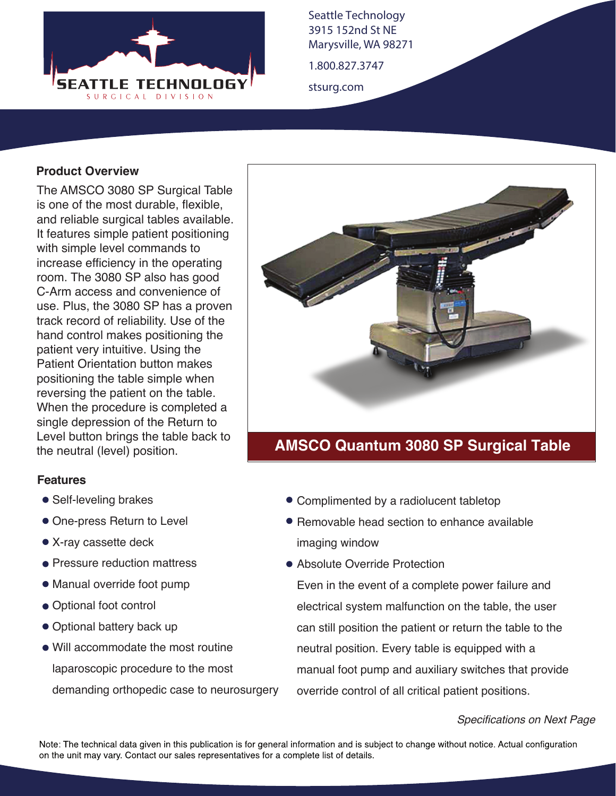

Seattle Technology 3915 152nd St NE Marysville, WA 98271

1.800.827.3747

stsurg.com

## **Product Overview**

The AMSCO 3080 SP Surgical Table is one of the most durable, flexible, and reliable surgical tables available. It features simple patient positioning with simple level commands to increase efficiency in the operating room. The 3080 SP also has good C-Arm access and convenience of use. Plus, the 3080 SP has a proven track record of reliability. Use of the hand control makes positioning the patient very intuitive. Using the Patient Orientation button makes positioning the table simple when reversing the patient on the table. When the procedure is completed a single depression of the Return to Level button brings the table back to the neutral (level) position.

## **Features**

- Self-leveling brakes
- One-press Return to Level
- X-ray cassette deck
- Pressure reduction mattress
- Manual override foot pump
- Optional foot control
- Optional battery back up
- Will accommodate the most routine laparoscopic procedure to the most demanding orthopedic case to neurosurgery



## **AMSCO Quantum 3080 SP Surgical Table**

- Complimented by a radiolucent tabletop
- Removable head section to enhance available imaging window
- Absolute Override Protection

Even in the event of a complete power failure and electrical system malfunction on the table, the user can still position the patient or return the table to the neutral position. Every table is equipped with a manual foot pump and auxiliary switches that provide override control of all critical patient positions.

## *Specifications on Next Page*

Note: The technical data given in this publication is for general information and is subject to change without notice. Actual configuration on the unit may vary. Contact our sales representatives for a complete list of details.